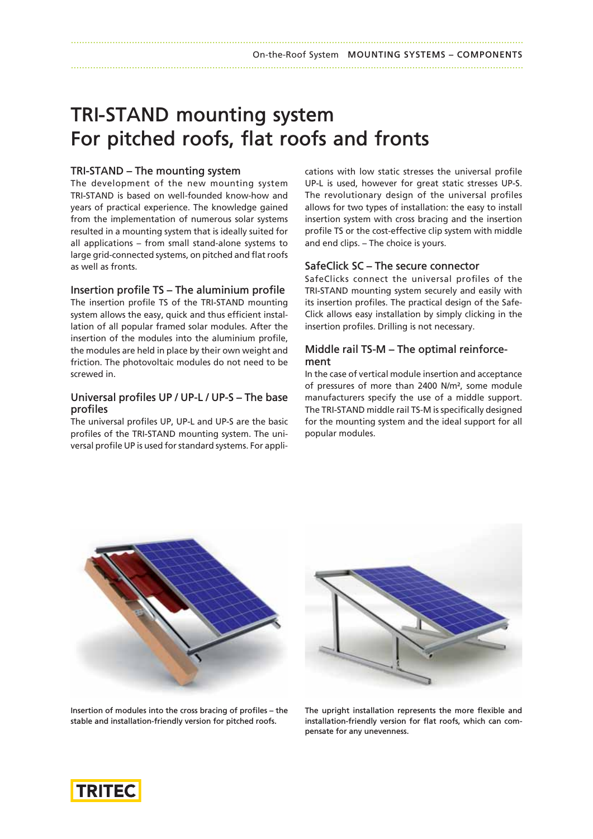#### On-the-Roof System **MOUNTING SYSTEMS – COMPONENTS** ...................................................................................................................................................................

# **TRI‑STAND mounting system For pitched roofs, flat roofs and fronts**

### **TRI‑STAND – The mounting system**

The development of the new mounting system TRI‑STAND is based on well-founded know-how and years of practical experience. The knowledge gained from the implementation of numerous solar systems resulted in a mounting system that is ideally suited for all applications – from small stand-alone systems to large grid-connected systems, on pitched and flat roofs as well as fronts.

#### **Insertion profile TS – The aluminium profile**

The insertion profile TS of the TRI-STAND mounting system allows the easy, quick and thus efficient installation of all popular framed solar modules. After the insertion of the modules into the aluminium profile, the modules are held in place by their own weight and friction. The photovoltaic modules do not need to be screwed in.

#### **Universal profiles UP / UP-L / UP-S – The base profiles** Universal profiles UP / UP-L / UP-S – The base<br>profiles<br>The universal profiles UP, UP-L and UP-S are the basic

**protiles**<br>The universal profiles UP, UP-L and UP-S are the basic<br>profiles of the TRI-STAND mounting system. The universal profile UP is used for standard systems. For appli-

cations with low static stresses the universal profile cations with low static stresses the universal profile<br>UP-L is used, however for great static stresses UP-S. The revolutionary design of the universal profiles allows for two types of installation: the easy to install insertion system with cross bracing and the insertion profile TS or the cost-effective clip system with middle insertion system with cross bracing<br>profile TS or the cost-effective clip :<br>and end clips. – The choice is yours. and end clips. – The choice is yours.<br>**SafeClick SC – The secure connector** 

SafeClicks connect the universal profiles of the **SafeClick SC – The secure connector**<br>SafeClicks connect the universal profiles of the<br>TRI-STAND mounting system securely and easily with its insertion profiles. The practical design of the Safe-Click allows easy installation by simply clicking in the insertion profiles. Drilling is not necessary.

#### **Middle rail TS-M – The optimal reinforcement**

In the case of vertical module insertion and acceptance of pressures of more than 2400 N/m², some module manufacturers specify the use of a middle support. of pressures of more than 2400 N/m<sup>2</sup>, some module<br>manufacturers specify the use of a middle support.<br>The TRI-STAND middle rail TS-M is specifically designed for the mounting system and the ideal support for all popular modules.





**Insertion of modules into the cross bracing of profiles – the stable and installation-friendly version for pitched roofs.**

**The upright installation represents the more flexible and installation-friendly version for flat roofs, which can compensate for any unevenness.**

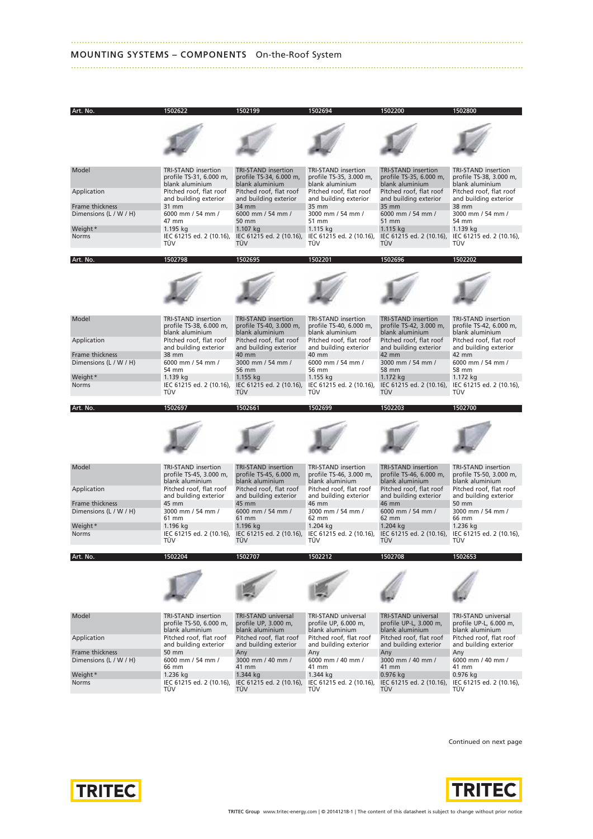#### **MOUNTING SYSTEMS – COMPONENTS** On-the-Roof System



...................................................................................................................................................................

Continued on next page



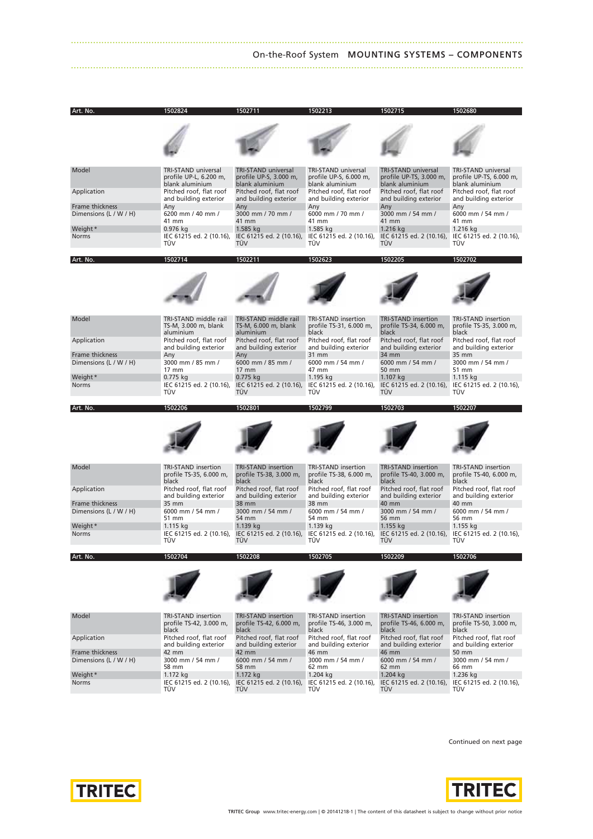## ................................................................................................................................................................... On-the-Roof System **MOUNTING SYSTEMS – COMPONENTS**



Continued on next page

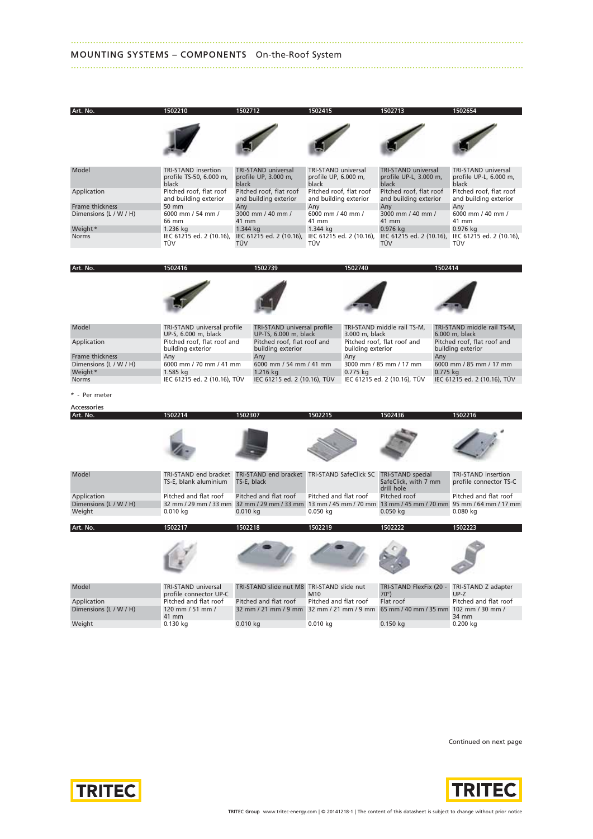### **MOUNTING SYSTEMS – COMPONENTS** On-the-Roof System

| Art. No.                                  | 1502210                                               | 1502712                                                                       | 1502415                                     | 1502713                                              | 1502654                                                                                                                                |
|-------------------------------------------|-------------------------------------------------------|-------------------------------------------------------------------------------|---------------------------------------------|------------------------------------------------------|----------------------------------------------------------------------------------------------------------------------------------------|
|                                           |                                                       |                                                                               |                                             |                                                      |                                                                                                                                        |
|                                           |                                                       |                                                                               |                                             |                                                      |                                                                                                                                        |
| Model                                     | <b>TRI-STAND</b> insertion<br>profile TS-50, 6.000 m, | TRI-STAND universal<br>profile UP, 3.000 m,                                   | TRI-STAND universal<br>profile UP, 6.000 m, | <b>TRI-STAND universal</b><br>profile UP-L, 3.000 m, | TRI-STAND universal<br>profile UP-L, 6.000 m,                                                                                          |
| Application                               | black<br>Pitched roof, flat roof                      | black<br>Pitched roof, flat roof                                              | black<br>Pitched roof, flat roof            | black<br>Pitched roof, flat roof                     | black<br>Pitched roof, flat roof                                                                                                       |
|                                           | and building exterior<br>50 mm                        | and building exterior                                                         | and building exterior                       | and building exterior                                | and building exterior                                                                                                                  |
| Frame thickness<br>Dimensions (L / W / H) | 6000 mm / 54 mm /                                     | Any<br>3000 mm / 40 mm /                                                      | Any<br>6000 mm / 40 mm /                    | Any<br>3000 mm / 40 mm /                             | Any<br>6000 mm / 40 mm /                                                                                                               |
| Weight *                                  | 66 mm<br>1.236 kg                                     | 41 mm<br>1.344 kg                                                             | 41 mm<br>1.344 kg                           | 41 mm<br>0.976 kg                                    | 41 mm<br>0.976 kg                                                                                                                      |
| Norms                                     | IEC 61215 ed. 2 (10.16),<br>TUV                       | IEC 61215 ed. 2 (10.16),<br><b>TUV</b>                                        | IEC 61215 ed. 2 (10.16),<br>TUV             | IEC 61215 ed. 2 (10.16),<br><b>TUV</b>               | IEC 61215 ed. 2 (10.16),<br>TUV                                                                                                        |
| Art. No.                                  | 1502416                                               | 1502739                                                                       | 1502740                                     |                                                      | 1502414                                                                                                                                |
|                                           |                                                       |                                                                               |                                             |                                                      |                                                                                                                                        |
|                                           |                                                       |                                                                               |                                             |                                                      |                                                                                                                                        |
|                                           |                                                       |                                                                               |                                             |                                                      |                                                                                                                                        |
| Model                                     | TRI-STAND universal profile                           | TRI-STAND universal profile                                                   |                                             | TRI-STAND middle rail TS-M,                          | TRI-STAND middle rail TS-M,                                                                                                            |
| Application                               | UP-S, 6.000 m, black<br>Pitched roof, flat roof and   | UP-TS, 6.000 m, black<br>Pitched roof, flat roof and                          | 3.000 m, black                              | Pitched roof, flat roof and                          | 6.000 m, black<br>Pitched roof, flat roof and                                                                                          |
| Frame thickness                           | building exterior<br>Any                              | building exterior<br>Any                                                      | building exterior<br>Any                    | Any                                                  | building exterior                                                                                                                      |
| Dimensions (L / W / H)<br>Weight *        | 6000 mm / 70 mm / 41 mm<br>1.585 kg                   | 6000 mm / 54 mm / 41 mm<br>1.216 kg                                           | 0.775 kg                                    | 3000 mm / 85 mm / 17 mm                              | 6000 mm / 85 mm / 17 mm<br>0.775 kg                                                                                                    |
| Norms                                     | IEC 61215 ed. 2 (10.16), TÜV                          | IEC 61215 ed. 2 (10.16), TUV                                                  |                                             | IEC 61215 ed. 2 (10.16), TUV                         | IEC 61215 ed. 2 (10.16), TUV                                                                                                           |
| * - Per meter                             |                                                       |                                                                               |                                             |                                                      |                                                                                                                                        |
| Accessories<br>Art. No.                   | 1502214                                               | 1502307                                                                       | 1502215                                     | 1502436                                              | 1502216                                                                                                                                |
|                                           |                                                       |                                                                               |                                             |                                                      |                                                                                                                                        |
|                                           |                                                       |                                                                               |                                             |                                                      |                                                                                                                                        |
|                                           |                                                       |                                                                               |                                             |                                                      |                                                                                                                                        |
| Model                                     | TRI-STAND end bracket<br>TS-E, blank aluminium        | TRI-STAND end bracket TRI-STAND SafeClick SC TRI-STAND special<br>TS-E, black |                                             | SafeClick, with 7 mm<br>drill hole                   | TRI-STAND insertion<br>profile connector TS-C                                                                                          |
| Application<br>Dimensions (L / W / H)     | Pitched and flat roof                                 | Pitched and flat roof                                                         | Pitched and flat roof                       | Pitched roof                                         | Pitched and flat roof<br>32 mm / 29 mm / 33 mm 32 mm / 29 mm / 33 mm 13 mm / 45 mm / 70 mm 13 mm / 45 mm / 70 mm 95 mm / 64 mm / 17 mm |
| Weight                                    | $0.010$ kg                                            | $0.010$ kg                                                                    | $0.050$ kg                                  | $0.050$ kg                                           | 0.080 kg                                                                                                                               |
| Art. No.                                  | 1502217                                               | 1502218                                                                       | 1502219                                     | 1502222                                              | 1502223                                                                                                                                |
|                                           |                                                       |                                                                               |                                             |                                                      |                                                                                                                                        |
|                                           |                                                       |                                                                               |                                             |                                                      |                                                                                                                                        |
| Model                                     | TRI-STAND universal<br>profile connector UP-C         | TRI-STAND slide nut M8 TRI-STAND slide nut                                    | M10                                         | TRI-STAND FlexFix (20 -<br>$70^\circ$                | TRI-STAND Z adapter<br>UP-Z                                                                                                            |
| Application                               | Pitched and flat roof                                 | Pitched and flat roof                                                         | Pitched and flat roof                       | Flat roof                                            | Pitched and flat roof                                                                                                                  |
| Dimensions (L / W / H)                    | 120 mm / 51 mm /<br>41 mm                             | 32 mm / 21 mm / 9 mm 32 mm / 21 mm / 9 mm                                     |                                             | 65 mm / 40 mm / 35 mm                                | 102 mm / 30 mm /<br>34 mm                                                                                                              |
| Weight                                    | $0.130$ kg                                            | $0.010$ kg                                                                    | 0.010 kg                                    | $0.150$ kg                                           | 0.200 kg                                                                                                                               |

...................................................................................................................................................................

...................................................................................................................................................................

Continued on next page



**TRITEC** 

**TRITEC Group** www.tritec-energy.com | © 20141218-1 | The content of this datasheet is subject to change without prior notice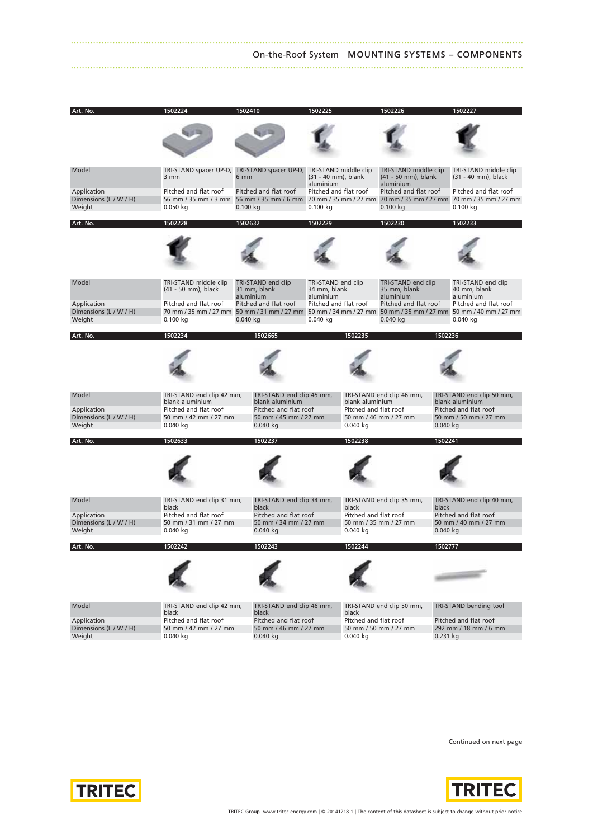#### ................................................................................................................................................................... On-the-Roof System **MOUNTING SYSTEMS – COMPONENTS** ...................................................................................................................................................................

| Art. No.                                        | 1502224                                                      | 1502410                                                      | 1502225                                         | 1502226                                          | 150222.                                                                                                                                            |
|-------------------------------------------------|--------------------------------------------------------------|--------------------------------------------------------------|-------------------------------------------------|--------------------------------------------------|----------------------------------------------------------------------------------------------------------------------------------------------------|
|                                                 |                                                              |                                                              |                                                 |                                                  |                                                                                                                                                    |
| Model                                           | 3 mm                                                         | TRI-STAND spacer UP-D, TRI-STAND spacer UP-D,<br>6 mm        | TRI-STAND middle clip<br>(31 - 40 mm), blank    | TRI-STAND middle clip<br>(41 - 50 mm), blank     | TRI-STAND middle clip<br>(31 - 40 mm), black                                                                                                       |
| Application<br>Dimensions (L / W / H)<br>Weight | Pitched and flat roof<br>$0.050$ kg                          | Pitched and flat roof<br>$0.100$ kg                          | aluminium<br>Pitched and flat roof<br>0.100 kg  | aluminium<br>Pitched and flat roof<br>$0.100$ kg | Pitched and flat roof<br>56 mm / 35 mm / 3 mm 56 mm / 35 mm / 6 mm 70 mm / 35 mm / 27 mm 70 mm / 35 mm / 27 mm 70 mm / 35 mm / 27 mm<br>0.100 kg   |
| Art. No.                                        | 1502228                                                      | 1502632                                                      | 1502229                                         | 1502230                                          | 1502233                                                                                                                                            |
|                                                 |                                                              |                                                              |                                                 |                                                  |                                                                                                                                                    |
| Model                                           | TRI-STAND middle clip<br>(41 - 50 mm), black                 | TRI-STAND end clip<br>31 mm, blank<br>aluminium              | TRI-STAND end clip<br>34 mm, blank<br>aluminium | TRI-STAND end clip<br>35 mm, blank<br>aluminium  | TRI-STAND end clip<br>40 mm, blank<br>aluminium                                                                                                    |
| Application<br>Dimensions (L / W / H)<br>Weight | Pitched and flat roof<br>0.100 kg                            | Pitched and flat roof<br>$0.040$ kg                          | Pitched and flat roof<br>0.040 kg               | Pitched and flat roof<br>$0.040$ kg              | Pitched and flat roof<br>70 mm / 35 mm / 27 mm 50 mm / 31 mm / 27 mm 50 mm / 34 mm / 27 mm 50 mm / 35 mm / 27 mm 50 mm / 40 mm / 27 mm<br>0.040 kg |
| Art. No.                                        | 1502234                                                      | 1502665                                                      | 1502235                                         | 1502236                                          |                                                                                                                                                    |
|                                                 |                                                              |                                                              |                                                 |                                                  |                                                                                                                                                    |
| Model                                           | TRI-STAND end clip 42 mm,<br>blank aluminium                 | TRI-STAND end clip 45 mm,<br>blank aluminium                 | blank aluminium                                 | TRI-STAND end clip 46 mm,                        | TRI-STAND end clip 50 mm,<br>blank aluminium                                                                                                       |
| Application<br>Dimensions (L / W / H)<br>Weight | Pitched and flat roof<br>50 mm / 42 mm / 27 mm<br>$0.040$ kg | Pitched and flat roof<br>50 mm / 45 mm / 27 mm<br>0.040 kg   | Pitched and flat roof<br>$0.040$ kg             | 50 mm / 46 mm / 27 mm<br>$0.040$ kg              | Pitched and flat roof<br>50 mm / 50 mm / 27 mm                                                                                                     |
| Art. No.                                        | 1502633                                                      | 1502237                                                      | 1502238                                         | 1502241                                          |                                                                                                                                                    |
|                                                 |                                                              |                                                              |                                                 |                                                  |                                                                                                                                                    |
| Model                                           | TRI-STAND end clip 31 mm,<br>black                           | TRI-STAND end clip 34 mm,<br>black                           | black                                           | TRI-STAND end clip 35 mm,<br>black               | TRI-STAND end clip 40 mm,                                                                                                                          |
| Application<br>Dimensions (L / W / H)<br>Weight | Pitched and flat roof<br>50 mm / 31 mm / 27 mm<br>$0.040$ kg | Pitched and flat roof<br>50 mm / 34 mm / 27 mm<br>$0.040$ kg | Pitched and flat roof<br>0.040 kg               | 50 mm / 35 mm / 27 mm<br>$0.040$ kg              | Pitched and flat roof<br>50 mm / 40 mm / 27 mm                                                                                                     |
| Art. No.                                        | 502242                                                       | 1502243                                                      |                                                 | 1502777                                          |                                                                                                                                                    |
|                                                 |                                                              |                                                              |                                                 |                                                  | <b>CONTRACTOR</b>                                                                                                                                  |
| Model                                           | TRI-STAND end clip 42 mm,<br>black                           | TRI-STAND end clip 46 mm,<br>black                           | black                                           | TRI-STAND end clip 50 mm,                        | TRI-STAND bending tool                                                                                                                             |
| Application<br>Dimensions (L / W / H)<br>Weight | Pitched and flat roof<br>50 mm / 42 mm / 27 mm<br>$0.040$ kg | Pitched and flat roof<br>50 mm / 46 mm / 27 mm<br>$0.040$ ka | Pitched and flat roof<br>$0.040$ kg             | 50 mm / 50 mm / 27 mm<br>$0.231$ kg              | Pitched and flat roof<br>292 mm / 18 mm / 6 mm                                                                                                     |

Continued on next page